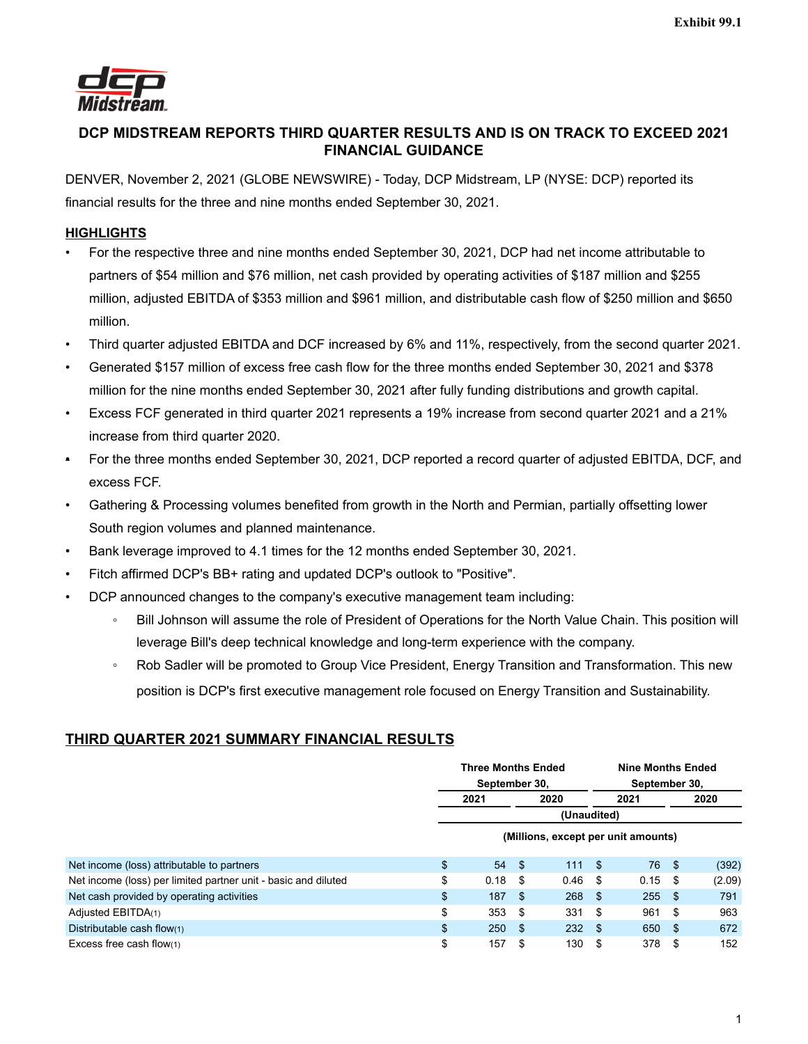

# **DCP MIDSTREAM REPORTS THIRD QUARTER RESULTS AND IS ON TRACK TO EXCEED 2021 FINANCIAL GUIDANCE**

DENVER, November 2, 2021 (GLOBE NEWSWIRE) - Today, DCP Midstream, LP (NYSE: DCP) reported its financial results for the three and nine months ended September 30, 2021.

# **HIGHLIGHTS**

- For the respective three and nine months ended September 30, 2021, DCP had net income attributable to partners of \$54 million and \$76 million, net cash provided by operating activities of \$187 million and \$255 million, adjusted EBITDA of \$353 million and \$961 million, and distributable cash flow of \$250 million and \$650 million.
- Third quarter adjusted EBITDA and DCF increased by 6% and 11%, respectively, from the second quarter 2021.
- Generated \$157 million of excess free cash flow for the three months ended September 30, 2021 and \$378 million for the nine months ended September 30, 2021 after fully funding distributions and growth capital.
- Excess FCF generated in third quarter 2021 represents a 19% increase from second quarter 2021 and a 21% increase from third quarter 2020.
- For the three months ended September 30, 2021, DCP reported a record quarter of adjusted EBITDA, DCF, and excess FCF.
- Gathering & Processing volumes benefited from growth in the North and Permian, partially offsetting lower South region volumes and planned maintenance.
- Bank leverage improved to 4.1 times for the 12 months ended September 30, 2021.
- Fitch affirmed DCP's BB+ rating and updated DCP's outlook to "Positive".
- DCP announced changes to the company's executive management team including:
	- Bill Johnson will assume the role of President of Operations for the North Value Chain. This position will leverage Bill's deep technical knowledge and long-term experience with the company.
	- Rob Sadler will be promoted to Group Vice President, Energy Transition and Transformation. This new position is DCP's first executive management role focused on Energy Transition and Sustainability.

# **THIRD QUARTER 2021 SUMMARY FINANCIAL RESULTS**

|                                                                | <b>Three Months Ended</b>           |              |      | <b>Nine Months Ended</b> |      |               |     |        |  |  |
|----------------------------------------------------------------|-------------------------------------|--------------|------|--------------------------|------|---------------|-----|--------|--|--|
|                                                                | September 30,                       |              |      |                          |      | September 30, |     |        |  |  |
|                                                                |                                     | 2021<br>2020 |      |                          | 2021 |               |     | 2020   |  |  |
|                                                                | (Unaudited)                         |              |      |                          |      |               |     |        |  |  |
|                                                                | (Millions, except per unit amounts) |              |      |                          |      |               |     |        |  |  |
| Net income (loss) attributable to partners                     | $\mathfrak{L}$                      | 54S          |      | 111S                     |      | 76            | -\$ | (392)  |  |  |
| Net income (loss) per limited partner unit - basic and diluted | \$                                  | 0.18         | \$   | 0.46                     | - \$ | 0.15          | S   | (2.09) |  |  |
| Net cash provided by operating activities                      | \$                                  | 187          | -\$  | 268                      | - \$ | 255           | -\$ | 791    |  |  |
| Adjusted EBITDA(1)                                             | \$                                  | 353          | -\$  | 331                      | -\$  | 961           | \$  | 963    |  |  |
| Distributable cash flow(1)                                     | \$                                  | 250          | -\$  | 232S                     |      | 650           | \$  | 672    |  |  |
| Excess free cash flow(1)                                       | \$                                  | 157          | - \$ | 130                      | - \$ | 378           | S   | 152    |  |  |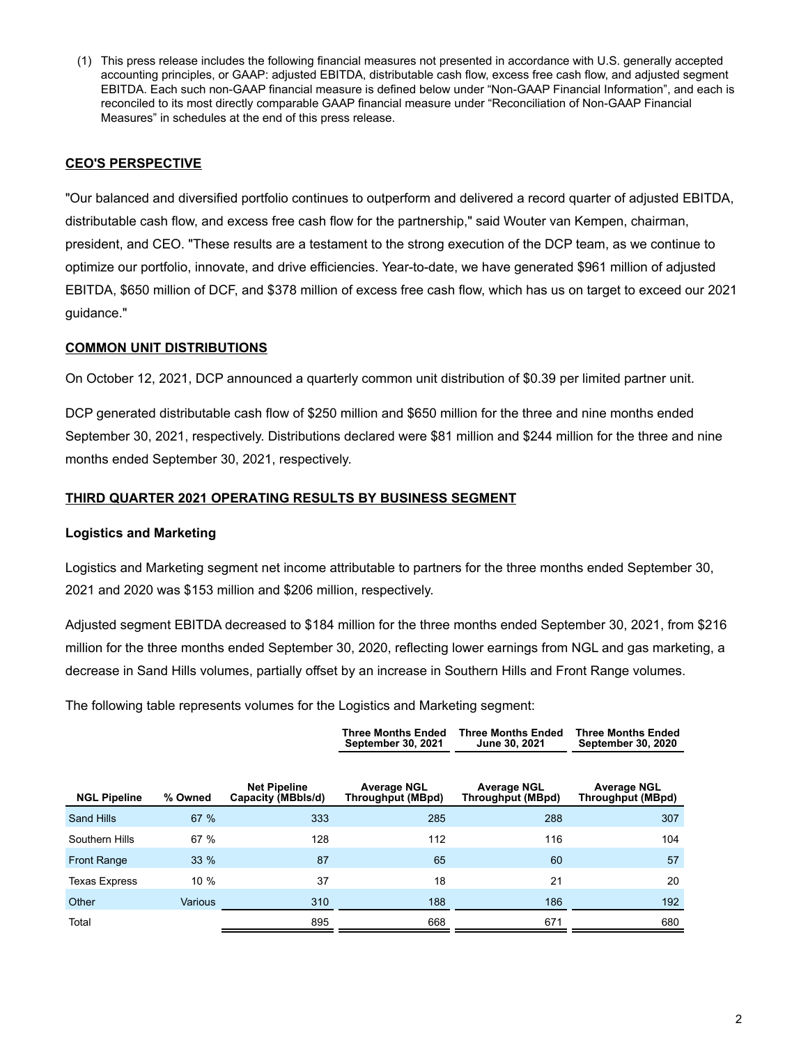(1) This press release includes the following financial measures not presented in accordance with U.S. generally accepted accounting principles, or GAAP: adjusted EBITDA, distributable cash flow, excess free cash flow, and adjusted segment EBITDA. Each such non-GAAP financial measure is defined below under "Non-GAAP Financial Information", and each is reconciled to its most directly comparable GAAP financial measure under "Reconciliation of Non-GAAP Financial Measures" in schedules at the end of this press release.

## **CEO'S PERSPECTIVE**

"Our balanced and diversified portfolio continues to outperform and delivered a record quarter of adjusted EBITDA, distributable cash flow, and excess free cash flow for the partnership," said Wouter van Kempen, chairman, president, and CEO. "These results are a testament to the strong execution of the DCP team, as we continue to optimize our portfolio, innovate, and drive efficiencies. Year-to-date, we have generated \$961 million of adjusted EBITDA, \$650 million of DCF, and \$378 million of excess free cash flow, which has us on target to exceed our 2021 guidance."

### **COMMON UNIT DISTRIBUTIONS**

On October 12, 2021, DCP announced a quarterly common unit distribution of \$0.39 per limited partner unit.

DCP generated distributable cash flow of \$250 million and \$650 million for the three and nine months ended September 30, 2021, respectively. Distributions declared were \$81 million and \$244 million for the three and nine months ended September 30, 2021, respectively.

### **THIRD QUARTER 2021 OPERATING RESULTS BY BUSINESS SEGMENT**

### **Logistics and Marketing**

Logistics and Marketing segment net income attributable to partners for the three months ended September 30, 2021 and 2020 was \$153 million and \$206 million, respectively.

Adjusted segment EBITDA decreased to \$184 million for the three months ended September 30, 2021, from \$216 million for the three months ended September 30, 2020, reflecting lower earnings from NGL and gas marketing, a decrease in Sand Hills volumes, partially offset by an increase in Southern Hills and Front Range volumes.

The following table represents volumes for the Logistics and Marketing segment:

|                      |                |                                           | <b>Three Months Ended</b><br><b>September 30, 2021</b> | <b>Three Months Ended</b><br>June 30, 2021 | <b>Three Months Ended</b><br><b>September 30, 2020</b> |
|----------------------|----------------|-------------------------------------------|--------------------------------------------------------|--------------------------------------------|--------------------------------------------------------|
| <b>NGL Pipeline</b>  | % Owned        | <b>Net Pipeline</b><br>Capacity (MBbls/d) | <b>Average NGL</b><br>Throughput (MBpd)                | <b>Average NGL</b><br>Throughput (MBpd)    | <b>Average NGL</b><br><b>Throughput (MBpd)</b>         |
| Sand Hills           | 67 %           | 333                                       | 285                                                    | 288                                        | 307                                                    |
| Southern Hills       | 67 %           | 128                                       | 112                                                    | 116                                        | 104                                                    |
| <b>Front Range</b>   | $33\%$         | 87                                        | 65                                                     | 60                                         | 57                                                     |
| <b>Texas Express</b> | 10 %           | 37                                        | 18                                                     | 21                                         | 20                                                     |
| Other                | <b>Various</b> | 310                                       | 188                                                    | 186                                        | 192                                                    |
| Total                |                | 895                                       | 668                                                    | 671                                        | 680                                                    |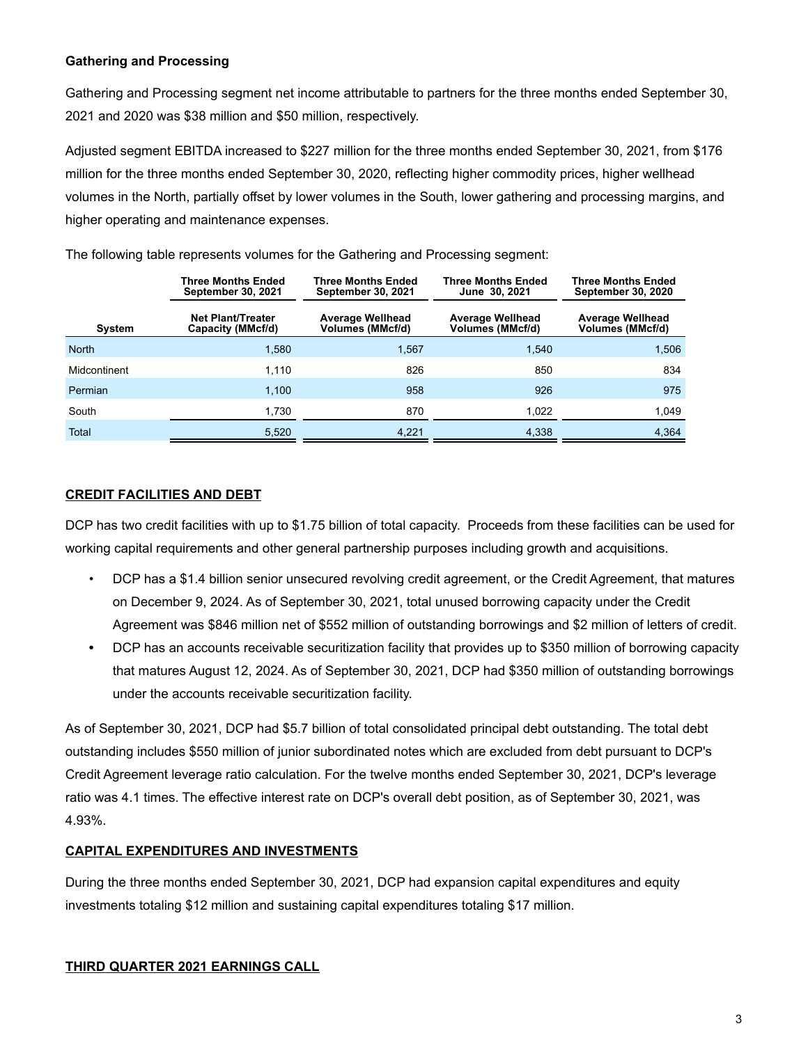## **Gathering and Processing**

Gathering and Processing segment net income attributable to partners for the three months ended September 30, 2021 and 2020 was \$38 million and \$50 million, respectively.

Adjusted segment EBITDA increased to \$227 million for the three months ended September 30, 2021, from \$176 million for the three months ended September 30, 2020, reflecting higher commodity prices, higher wellhead volumes in the North, partially offset by lower volumes in the South, lower gathering and processing margins, and higher operating and maintenance expenses.

|               | <b>Three Months Ended</b><br>September 30, 2021 | <b>Three Months Ended</b><br><b>September 30, 2021</b> | Three Months Ended<br>June 30, 2021                | <b>Three Months Ended</b><br><b>September 30, 2020</b> |
|---------------|-------------------------------------------------|--------------------------------------------------------|----------------------------------------------------|--------------------------------------------------------|
| <b>System</b> | <b>Net Plant/Treater</b><br>Capacity (MMcf/d)   | <b>Average Wellhead</b><br>Volumes (MMcf/d)            | <b>Average Wellhead</b><br><b>Volumes (MMcf/d)</b> | <b>Average Wellhead</b><br><b>Volumes (MMcf/d)</b>     |
| <b>North</b>  | 1,580                                           | 1.567                                                  | 1,540                                              | 1,506                                                  |
| Midcontinent  | 1.110                                           | 826                                                    | 850                                                | 834                                                    |
| Permian       | 1,100                                           | 958                                                    | 926                                                | 975                                                    |
| South         | 1,730                                           | 870                                                    | 1,022                                              | 1,049                                                  |
| <b>Total</b>  | 5,520                                           | 4,221                                                  | 4,338                                              | 4,364                                                  |

The following table represents volumes for the Gathering and Processing segment:

## **CREDIT FACILITIES AND DEBT**

DCP has two credit facilities with up to \$1.75 billion of total capacity. Proceeds from these facilities can be used for working capital requirements and other general partnership purposes including growth and acquisitions.

- DCP has a \$1.4 billion senior unsecured revolving credit agreement, or the Credit Agreement, that matures on December 9, 2024. As of September 30, 2021, total unused borrowing capacity under the Credit Agreement was \$846 million net of \$552 million of outstanding borrowings and \$2 million of letters of credit.
- **•** DCP has an accounts receivable securitization facility that provides up to \$350 million of borrowing capacity that matures August 12, 2024. As of September 30, 2021, DCP had \$350 million of outstanding borrowings under the accounts receivable securitization facility.

As of September 30, 2021, DCP had \$5.7 billion of total consolidated principal debt outstanding. The total debt outstanding includes \$550 million of junior subordinated notes which are excluded from debt pursuant to DCP's Credit Agreement leverage ratio calculation. For the twelve months ended September 30, 2021, DCP's leverage ratio was 4.1 times. The effective interest rate on DCP's overall debt position, as of September 30, 2021, was 4.93%.

# **CAPITAL EXPENDITURES AND INVESTMENTS**

During the three months ended September 30, 2021, DCP had expansion capital expenditures and equity investments totaling \$12 million and sustaining capital expenditures totaling \$17 million.

# **THIRD QUARTER 2021 EARNINGS CALL**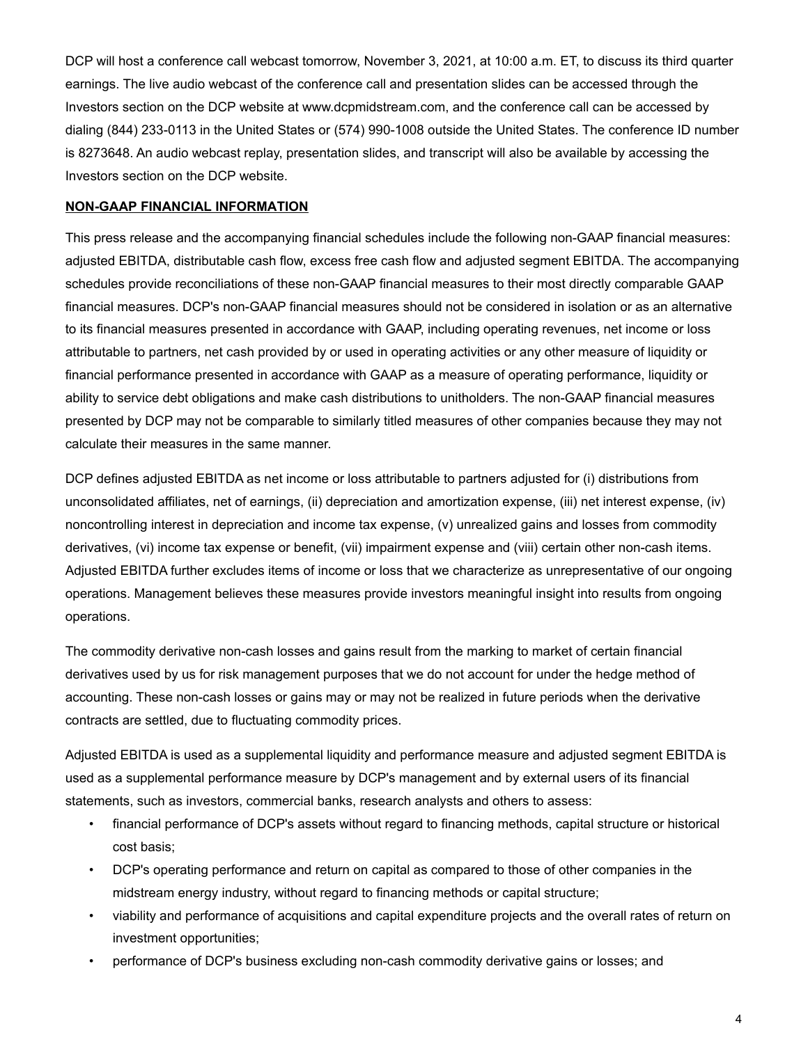DCP will host a conference call webcast tomorrow, November 3, 2021, at 10:00 a.m. ET, to discuss its third quarter earnings. The live audio webcast of the conference call and presentation slides can be accessed through the Investors section on the DCP website at www.dcpmidstream.com, and the conference call can be accessed by dialing (844) 233-0113 in the United States or (574) 990-1008 outside the United States. The conference ID number is 8273648. An audio webcast replay, presentation slides, and transcript will also be available by accessing the Investors section on the DCP website.

#### **NON-GAAP FINANCIAL INFORMATION**

This press release and the accompanying financial schedules include the following non-GAAP financial measures: adjusted EBITDA, distributable cash flow, excess free cash flow and adjusted segment EBITDA. The accompanying schedules provide reconciliations of these non-GAAP financial measures to their most directly comparable GAAP financial measures. DCP's non-GAAP financial measures should not be considered in isolation or as an alternative to its financial measures presented in accordance with GAAP, including operating revenues, net income or loss attributable to partners, net cash provided by or used in operating activities or any other measure of liquidity or financial performance presented in accordance with GAAP as a measure of operating performance, liquidity or ability to service debt obligations and make cash distributions to unitholders. The non-GAAP financial measures presented by DCP may not be comparable to similarly titled measures of other companies because they may not calculate their measures in the same manner.

DCP defines adjusted EBITDA as net income or loss attributable to partners adjusted for (i) distributions from unconsolidated affiliates, net of earnings, (ii) depreciation and amortization expense, (iii) net interest expense, (iv) noncontrolling interest in depreciation and income tax expense, (v) unrealized gains and losses from commodity derivatives, (vi) income tax expense or benefit, (vii) impairment expense and (viii) certain other non-cash items. Adjusted EBITDA further excludes items of income or loss that we characterize as unrepresentative of our ongoing operations. Management believes these measures provide investors meaningful insight into results from ongoing operations.

The commodity derivative non-cash losses and gains result from the marking to market of certain financial derivatives used by us for risk management purposes that we do not account for under the hedge method of accounting. These non-cash losses or gains may or may not be realized in future periods when the derivative contracts are settled, due to fluctuating commodity prices.

Adjusted EBITDA is used as a supplemental liquidity and performance measure and adjusted segment EBITDA is used as a supplemental performance measure by DCP's management and by external users of its financial statements, such as investors, commercial banks, research analysts and others to assess:

- financial performance of DCP's assets without regard to financing methods, capital structure or historical cost basis;
- DCP's operating performance and return on capital as compared to those of other companies in the midstream energy industry, without regard to financing methods or capital structure;
- viability and performance of acquisitions and capital expenditure projects and the overall rates of return on investment opportunities;
- performance of DCP's business excluding non-cash commodity derivative gains or losses; and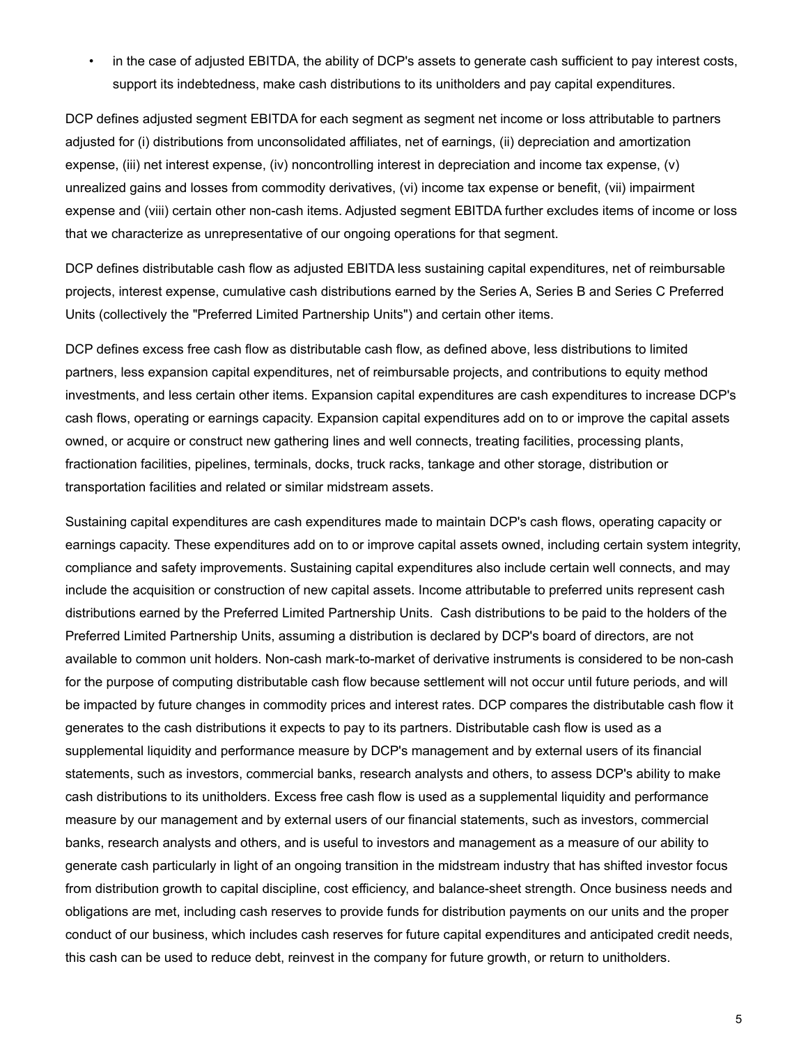• in the case of adjusted EBITDA, the ability of DCP's assets to generate cash sufficient to pay interest costs, support its indebtedness, make cash distributions to its unitholders and pay capital expenditures.

DCP defines adjusted segment EBITDA for each segment as segment net income or loss attributable to partners adjusted for (i) distributions from unconsolidated affiliates, net of earnings, (ii) depreciation and amortization expense, (iii) net interest expense, (iv) noncontrolling interest in depreciation and income tax expense, (v) unrealized gains and losses from commodity derivatives, (vi) income tax expense or benefit, (vii) impairment expense and (viii) certain other non-cash items. Adjusted segment EBITDA further excludes items of income or loss that we characterize as unrepresentative of our ongoing operations for that segment.

DCP defines distributable cash flow as adjusted EBITDA less sustaining capital expenditures, net of reimbursable projects, interest expense, cumulative cash distributions earned by the Series A, Series B and Series C Preferred Units (collectively the "Preferred Limited Partnership Units") and certain other items.

DCP defines excess free cash flow as distributable cash flow, as defined above, less distributions to limited partners, less expansion capital expenditures, net of reimbursable projects, and contributions to equity method investments, and less certain other items. Expansion capital expenditures are cash expenditures to increase DCP's cash flows, operating or earnings capacity. Expansion capital expenditures add on to or improve the capital assets owned, or acquire or construct new gathering lines and well connects, treating facilities, processing plants, fractionation facilities, pipelines, terminals, docks, truck racks, tankage and other storage, distribution or transportation facilities and related or similar midstream assets.

Sustaining capital expenditures are cash expenditures made to maintain DCP's cash flows, operating capacity or earnings capacity. These expenditures add on to or improve capital assets owned, including certain system integrity, compliance and safety improvements. Sustaining capital expenditures also include certain well connects, and may include the acquisition or construction of new capital assets. Income attributable to preferred units represent cash distributions earned by the Preferred Limited Partnership Units. Cash distributions to be paid to the holders of the Preferred Limited Partnership Units, assuming a distribution is declared by DCP's board of directors, are not available to common unit holders. Non-cash mark-to-market of derivative instruments is considered to be non-cash for the purpose of computing distributable cash flow because settlement will not occur until future periods, and will be impacted by future changes in commodity prices and interest rates. DCP compares the distributable cash flow it generates to the cash distributions it expects to pay to its partners. Distributable cash flow is used as a supplemental liquidity and performance measure by DCP's management and by external users of its financial statements, such as investors, commercial banks, research analysts and others, to assess DCP's ability to make cash distributions to its unitholders. Excess free cash flow is used as a supplemental liquidity and performance measure by our management and by external users of our financial statements, such as investors, commercial banks, research analysts and others, and is useful to investors and management as a measure of our ability to generate cash particularly in light of an ongoing transition in the midstream industry that has shifted investor focus from distribution growth to capital discipline, cost efficiency, and balance-sheet strength. Once business needs and obligations are met, including cash reserves to provide funds for distribution payments on our units and the proper conduct of our business, which includes cash reserves for future capital expenditures and anticipated credit needs, this cash can be used to reduce debt, reinvest in the company for future growth, or return to unitholders.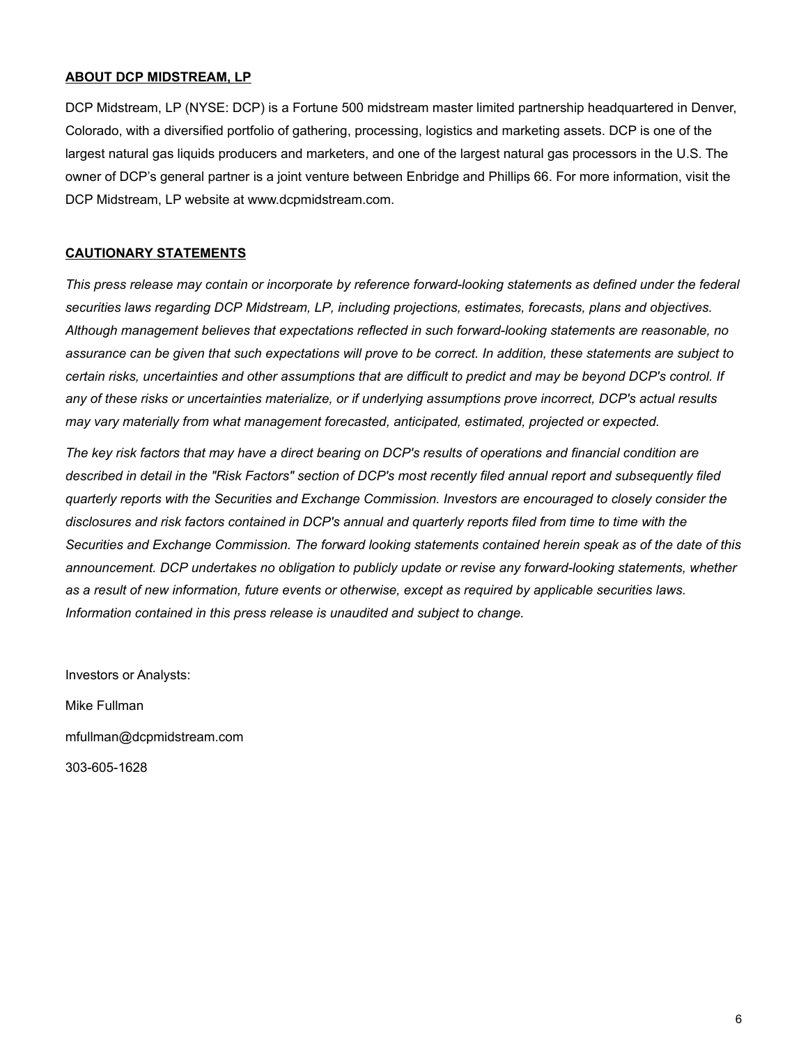#### **ABOUT DCP MIDSTREAM, LP**

DCP Midstream, LP (NYSE: DCP) is a Fortune 500 midstream master limited partnership headquartered in Denver, Colorado, with a diversified portfolio of gathering, processing, logistics and marketing assets. DCP is one of the largest natural gas liquids producers and marketers, and one of the largest natural gas processors in the U.S. The owner of DCP's general partner is a joint venture between Enbridge and Phillips 66. For more information, visit the DCP Midstream, LP website at www.dcpmidstream.com.

### **CAUTIONARY STATEMENTS**

*This press release may contain or incorporate by reference forward-looking statements as defined under the federal securities laws regarding DCP Midstream, LP, including projections, estimates, forecasts, plans and objectives. Although management believes that expectations reflected in such forward-looking statements are reasonable, no assurance can be given that such expectations will prove to be correct. In addition, these statements are subject to certain risks, uncertainties and other assumptions that are difficult to predict and may be beyond DCP's control. If any of these risks or uncertainties materialize, or if underlying assumptions prove incorrect, DCP's actual results may vary materially from what management forecasted, anticipated, estimated, projected or expected.*

*The key risk factors that may have a direct bearing on DCP's results of operations and financial condition are*  described in detail in the "Risk Factors" section of DCP's most recently filed annual report and subsequently filed *quarterly reports with the Securities and Exchange Commission. Investors are encouraged to closely consider the disclosures and risk factors contained in DCP's annual and quarterly reports filed from time to time with the Securities and Exchange Commission. The forward looking statements contained herein speak as of the date of this announcement. DCP undertakes no obligation to publicly update or revise any forward-looking statements, whether as a result of new information, future events or otherwise, except as required by applicable securities laws. Information contained in this press release is unaudited and subject to change.*

Investors or Analysts: Mike Fullman mfullman@dcpmidstream.com 303-605-1628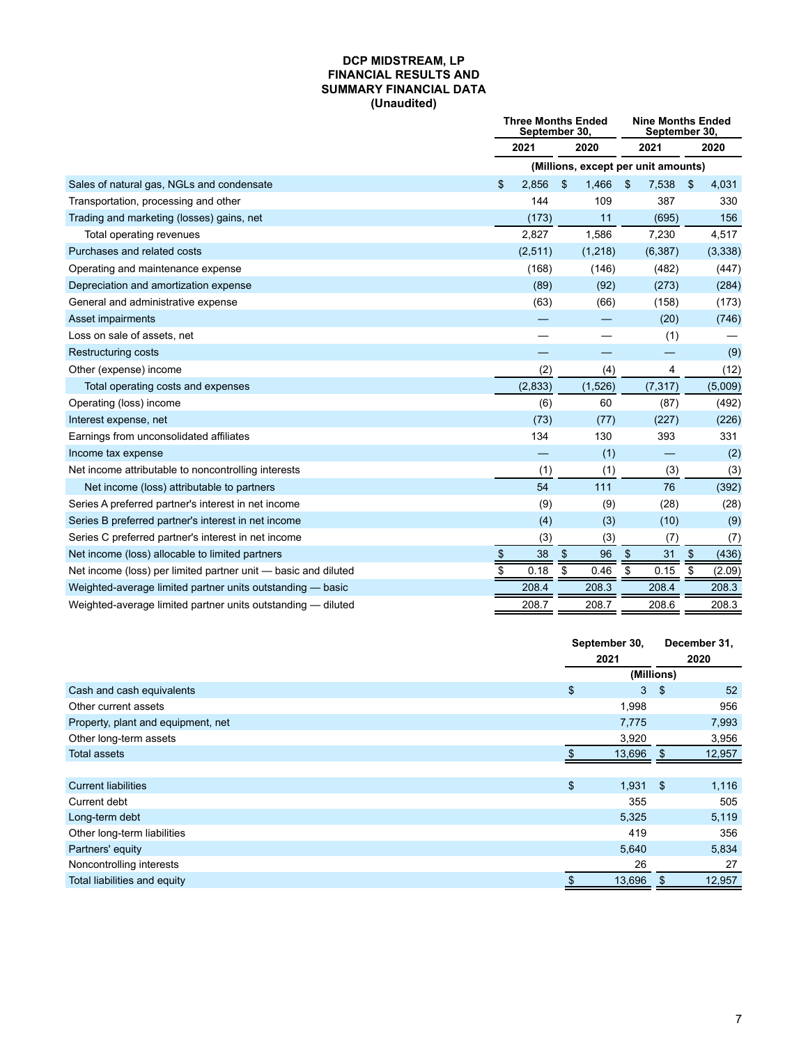#### **DCP MIDSTREAM, LP FINANCIAL RESULTS AND SUMMARY FINANCIAL DATA (Unaudited)**

|                                                                | <b>Three Months Ended</b><br>September 30. |          |                           |         | <b>Nine Months Ended</b><br>September 30, |          |                           |         |
|----------------------------------------------------------------|--------------------------------------------|----------|---------------------------|---------|-------------------------------------------|----------|---------------------------|---------|
|                                                                | 2021                                       |          | 2020                      |         |                                           | 2021     | 2020                      |         |
|                                                                | (Millions, except per unit amounts)        |          |                           |         |                                           |          |                           |         |
| Sales of natural gas, NGLs and condensate                      | \$                                         | 2.856    | \$                        | 1,466   | \$                                        | 7,538    | \$                        | 4,031   |
| Transportation, processing and other                           |                                            | 144      |                           | 109     |                                           | 387      |                           | 330     |
| Trading and marketing (losses) gains, net                      |                                            | (173)    |                           | 11      |                                           | (695)    |                           | 156     |
| Total operating revenues                                       |                                            | 2,827    |                           | 1,586   |                                           | 7,230    |                           | 4,517   |
| Purchases and related costs                                    |                                            | (2,511)  |                           | (1,218) |                                           | (6, 387) |                           | (3,338) |
| Operating and maintenance expense                              |                                            | (168)    |                           | (146)   |                                           | (482)    |                           | (447)   |
| Depreciation and amortization expense                          |                                            | (89)     |                           | (92)    |                                           | (273)    |                           | (284)   |
| General and administrative expense                             |                                            | (63)     |                           | (66)    |                                           | (158)    |                           | (173)   |
| Asset impairments                                              |                                            |          |                           |         |                                           | (20)     |                           | (746)   |
| Loss on sale of assets, net                                    |                                            |          |                           |         |                                           | (1)      |                           |         |
| <b>Restructuring costs</b>                                     |                                            |          |                           |         |                                           |          |                           | (9)     |
| Other (expense) income                                         |                                            | (2)      |                           | (4)     |                                           | 4        |                           | (12)    |
| Total operating costs and expenses                             |                                            | (2, 833) |                           | (1,526) |                                           | (7, 317) |                           | (5,009) |
| Operating (loss) income                                        |                                            | (6)      |                           | 60      |                                           | (87)     |                           | (492)   |
| Interest expense, net                                          |                                            | (73)     |                           | (77)    |                                           | (227)    |                           | (226)   |
| Earnings from unconsolidated affiliates                        |                                            | 134      |                           | 130     |                                           | 393      |                           | 331     |
| Income tax expense                                             |                                            |          |                           | (1)     |                                           |          |                           | (2)     |
| Net income attributable to noncontrolling interests            |                                            | (1)      |                           | (1)     |                                           | (3)      |                           | (3)     |
| Net income (loss) attributable to partners                     |                                            | 54       |                           | 111     |                                           | 76       |                           | (392)   |
| Series A preferred partner's interest in net income            |                                            | (9)      |                           | (9)     |                                           | (28)     |                           | (28)    |
| Series B preferred partner's interest in net income            |                                            | (4)      |                           | (3)     |                                           | (10)     |                           | (9)     |
| Series C preferred partner's interest in net income            |                                            | (3)      |                           | (3)     |                                           | (7)      |                           | (7)     |
| Net income (loss) allocable to limited partners                | $\frac{1}{2}$                              | 38       | $\boldsymbol{\mathsf{S}}$ | 96      | \$                                        | 31       | $\boldsymbol{\mathsf{S}}$ | (436)   |
| Net income (loss) per limited partner unit - basic and diluted | \$                                         | 0.18     | \$                        | 0.46    | \$                                        | 0.15     | \$                        | (2.09)  |
| Weighted-average limited partner units outstanding - basic     |                                            | 208.4    |                           | 208.3   |                                           | 208.4    |                           | 208.3   |
| Weighted-average limited partner units outstanding — diluted   |                                            | 208.7    |                           | 208.7   |                                           | 208.6    |                           | 208.3   |

|                                    |                | September 30,<br>2021 |            | December 31, |
|------------------------------------|----------------|-----------------------|------------|--------------|
|                                    |                |                       |            | 2020         |
|                                    |                |                       | (Millions) |              |
| Cash and cash equivalents          | $\,$           | 3 <sup>1</sup>        | -\$        | 52           |
| Other current assets               |                | 1,998                 |            | 956          |
| Property, plant and equipment, net |                | 7,775                 |            | 7,993        |
| Other long-term assets             |                | 3,920                 |            | 3,956        |
| <b>Total assets</b>                |                | 13,696                | \$.        | 12,957       |
|                                    |                |                       |            |              |
| <b>Current liabilities</b>         | $\mathfrak{S}$ | $1,931$ \$            |            | 1,116        |
| Current debt                       |                | 355                   |            | 505          |
| Long-term debt                     |                | 5,325                 |            | 5,119        |
| Other long-term liabilities        |                | 419                   |            | 356          |
| Partners' equity                   |                | 5,640                 |            | 5,834        |
| Noncontrolling interests           |                | 26                    |            | 27           |
| Total liabilities and equity       | \$             | 13,696                | \$         | 12,957       |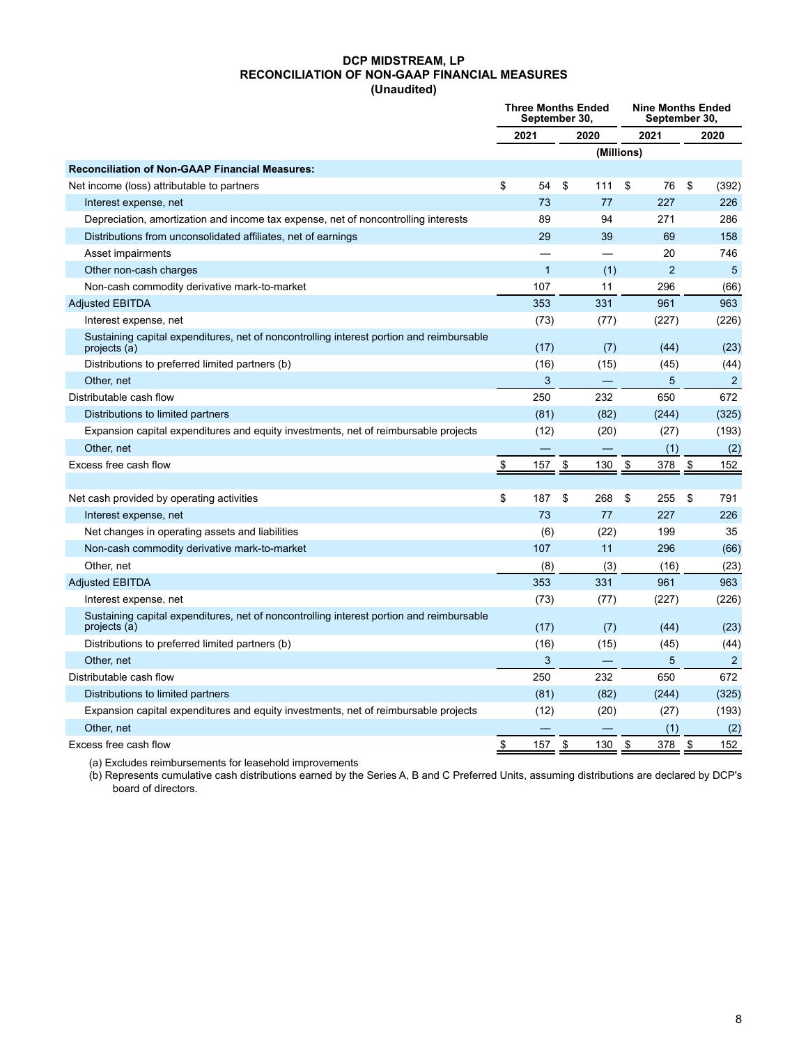#### **DCP MIDSTREAM, LP RECONCILIATION OF NON-GAAP FINANCIAL MEASURES (Unaudited)**

|                                                                                                          | <b>Three Months Ended</b><br>September 30, |              |      |                          | <b>Nine Months Ended</b><br>September 30, |                |    |                |
|----------------------------------------------------------------------------------------------------------|--------------------------------------------|--------------|------|--------------------------|-------------------------------------------|----------------|----|----------------|
|                                                                                                          | 2021                                       |              | 2020 |                          | 2021                                      |                |    | 2020           |
|                                                                                                          |                                            |              |      |                          | (Millions)                                |                |    |                |
| <b>Reconciliation of Non-GAAP Financial Measures:</b>                                                    |                                            |              |      |                          |                                           |                |    |                |
| Net income (loss) attributable to partners                                                               | \$                                         | 54           | \$   | 111                      | \$                                        | 76             | \$ | (392)          |
| Interest expense, net                                                                                    |                                            | 73           |      | 77                       |                                           | 227            |    | 226            |
| Depreciation, amortization and income tax expense, net of noncontrolling interests                       |                                            | 89           |      | 94                       |                                           | 271            |    | 286            |
| Distributions from unconsolidated affiliates, net of earnings                                            |                                            | 29           |      | 39                       |                                           | 69             |    | 158            |
| Asset impairments                                                                                        |                                            |              |      |                          |                                           | 20             |    | 746            |
| Other non-cash charges                                                                                   |                                            | $\mathbf{1}$ |      | (1)                      |                                           | $\overline{2}$ |    | 5              |
| Non-cash commodity derivative mark-to-market                                                             |                                            | 107          |      | 11                       |                                           | 296            |    | (66)           |
| <b>Adjusted EBITDA</b>                                                                                   |                                            | 353          |      | 331                      |                                           | 961            |    | 963            |
| Interest expense, net                                                                                    |                                            | (73)         |      | (77)                     |                                           | (227)          |    | (226)          |
| Sustaining capital expenditures, net of noncontrolling interest portion and reimbursable<br>projects (a) |                                            | (17)         |      | (7)                      |                                           | (44)           |    | (23)           |
| Distributions to preferred limited partners (b)                                                          |                                            | (16)         |      | (15)                     |                                           | (45)           |    | (44)           |
| Other, net                                                                                               |                                            | 3            |      |                          |                                           | 5              |    | $\overline{2}$ |
| Distributable cash flow                                                                                  |                                            | 250          |      | 232                      |                                           | 650            |    | 672            |
| Distributions to limited partners                                                                        |                                            | (81)         |      | (82)                     |                                           | (244)          |    | (325)          |
| Expansion capital expenditures and equity investments, net of reimbursable projects                      |                                            | (12)         |      | (20)                     |                                           | (27)           |    | (193)          |
| Other, net                                                                                               |                                            |              |      |                          |                                           | (1)            |    | (2)            |
| Excess free cash flow                                                                                    | \$                                         | 157          | \$   | 130                      | \$                                        | 378            | \$ | 152            |
|                                                                                                          |                                            |              |      |                          |                                           |                |    |                |
| Net cash provided by operating activities                                                                | \$                                         | 187          | \$   | 268                      | \$                                        | 255            | \$ | 791            |
| Interest expense, net                                                                                    |                                            | 73           |      | 77                       |                                           | 227            |    | 226            |
| Net changes in operating assets and liabilities                                                          |                                            | (6)          |      | (22)                     |                                           | 199            |    | 35             |
| Non-cash commodity derivative mark-to-market                                                             |                                            | 107          |      | 11                       |                                           | 296            |    | (66)           |
| Other, net                                                                                               |                                            | (8)          |      | (3)                      |                                           | (16)           |    | (23)           |
| <b>Adjusted EBITDA</b>                                                                                   |                                            | 353          |      | 331                      |                                           | 961            |    | 963            |
| Interest expense, net                                                                                    |                                            | (73)         |      | (77)                     |                                           | (227)          |    | (226)          |
| Sustaining capital expenditures, net of noncontrolling interest portion and reimbursable<br>projects (a) |                                            | (17)         |      | (7)                      |                                           | (44)           |    | (23)           |
| Distributions to preferred limited partners (b)                                                          |                                            | (16)         |      | (15)                     |                                           | (45)           |    | (44)           |
| Other, net                                                                                               |                                            | 3            |      | $\overline{\phantom{m}}$ |                                           | 5              |    | $\overline{2}$ |
| Distributable cash flow                                                                                  |                                            | 250          |      | 232                      |                                           | 650            |    | 672            |
| Distributions to limited partners                                                                        |                                            | (81)         |      | (82)                     |                                           | (244)          |    | (325)          |
| Expansion capital expenditures and equity investments, net of reimbursable projects                      |                                            | (12)         |      | (20)                     |                                           | (27)           |    | (193)          |
| Other, net                                                                                               |                                            |              |      |                          |                                           | (1)            |    | (2)            |
| Excess free cash flow                                                                                    | \$                                         | 157          | \$   | 130                      | \$                                        | 378            | \$ | 152            |

(a) Excludes reimbursements for leasehold improvements

(b) Represents cumulative cash distributions earned by the Series A, B and C Preferred Units, assuming distributions are declared by DCP's board of directors.